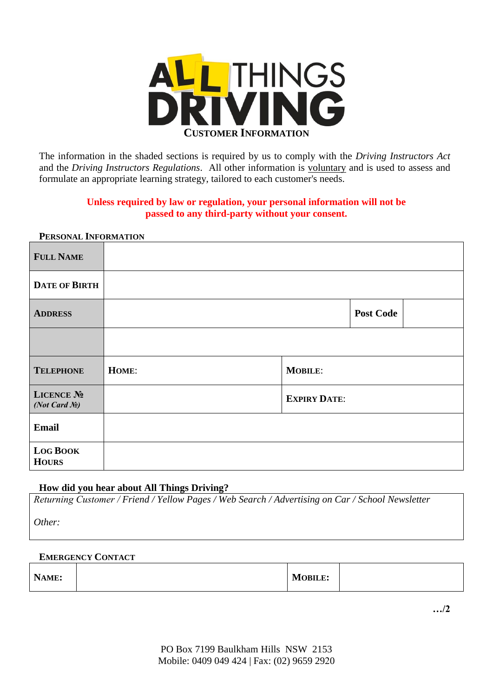

The information in the shaded sections is required by us to comply with the *Driving Instructors Act* and the *Driving Instructors Regulations*. All other information is voluntary and is used to assess and formulate an appropriate learning strategy, tailored to each customer's needs.

# **Unless required by law or regulation, your personal information will not be passed to any third-party without your consent.**

| <b>I ENQUIVAL INFUNDIATION</b>                    |       |                     |                  |
|---------------------------------------------------|-------|---------------------|------------------|
| <b>FULL NAME</b>                                  |       |                     |                  |
| <b>DATE OF BIRTH</b>                              |       |                     |                  |
| <b>ADDRESS</b>                                    |       |                     | <b>Post Code</b> |
|                                                   |       |                     |                  |
| <b>TELEPHONE</b>                                  | HOME: | <b>MOBILE:</b>      |                  |
| LICENCE No<br>(Not Card $\mathcal{N}\triangleq$ ) |       | <b>EXPIRY DATE:</b> |                  |
| <b>Email</b>                                      |       |                     |                  |
| <b>LOG BOOK</b><br><b>HOURS</b>                   |       |                     |                  |

## **PERSONAL INFORMATION**

# **How did you hear about All Things Driving?**

*Returning Customer / Friend / Yellow Pages / Web Search / Advertising on Car / School Newsletter*

*Other:*

# **EMERGENCY CONTACT**

| NAME: |  | <b>MOBILE:</b> |  |
|-------|--|----------------|--|
|-------|--|----------------|--|

**…/2**